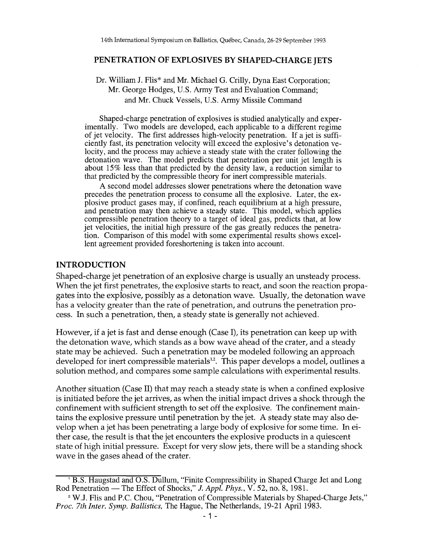#### **PENETRATION OF EXPLOSIVES BY SHAPED-CHARGE JETS**

### Dr. William J. Flis\* and Mr. Michael G. Crilly, Dyna East Corporation; Mr. George Hodges, U.S. Army Test and Evaluation Command; and Mr. Chuck Vessels, U.S. Army Missile Command

Shaped-charge penetration of explosives is studied analytically and experimentally. Two models are developed, each applicable to a different regime of jet velocity. The first addresses high-velocity penetration. If a jet is sufficiently fast, its penetration velocity will exceed the explosive's detonation velocity, and the process may achieve a steady state with the crater following the detonation wave. The model predicts that penetration per unit jet length is about 15% less than that predicted by the density law, a reduction similar to that predicted by the compressible theory for inert compressible materials.

A second model addresses slower penetrations where the detonation wave precedes the penetration process to consume all the explosive. Later, the explosive product gases may, if confined, reach equilibrium at a high pressure, and penetration may then achieve a steady state. This model, which applies compressible penetration theory to a target of ideal gas, predicts that, at low jet velocities, the initial high pressure of the gas greatly reduces the penetration. Comparison of this model with some experimental results shows excellent agreement provided foreshortening is taken into account.

### **INTRODUCTION**

Shaped-charge jet penetration of an explosive charge is usually an unsteady process. When the jet first penetrates, the explosive starts to react, and soon the reaction propagates into the explosive, possibly as a detonation wave. Usually, the detonation wave has a velocity greater than the rate of penetration, and outruns the penetration process. In such a penetration, then, a steady state is generally not achieved.

However, if a jet is fast and dense enough (Case I), its penetration can keep up with the detonation wave, which stands as a bow wave ahead of the crater, and a steady state may be achieved. Such a penetration may be modeled following an approach developed for inert compressible materials<sup>1,2</sup>. This paper develops a model, outlines a solution method, and compares some sample calculations with experimental results.

Another situation (Case II) that may reach a steady state is when a confined explosive is initiated before the jet arrives, as when the initial impact drives a shock through the confinement with sufficient strength to set off the explosive. The confinement maintains the explosive pressure until penetration by the jet. A steady state may also develop when a jet has been penetrating a large body of explosive for some time. In either case, the result is that the jet encounters the explosive products in a quiescent state of high initial pressure. Except for very slow jets, there will be a standing shock wave in the gases ahead of the crater.

<sup>&</sup>lt;sup>1</sup> B.S. Haugstad and O.S. Dullum, "Finite Compressibility in Shaped Charge Jet and Long Rod Penetration — The Effect of Shocks," J. Appl. Phys., V. 52, no. 8, 1981.

<sup>&</sup>lt;sup>2</sup> W.J. Flis and P.C. Chou, "Penetration of Compressible Materials by Shaped-Charge Jets," *Proc. 7th Inter. Symp. Ballistics,* The Hague, The Netherlands, 19-21 April 1983.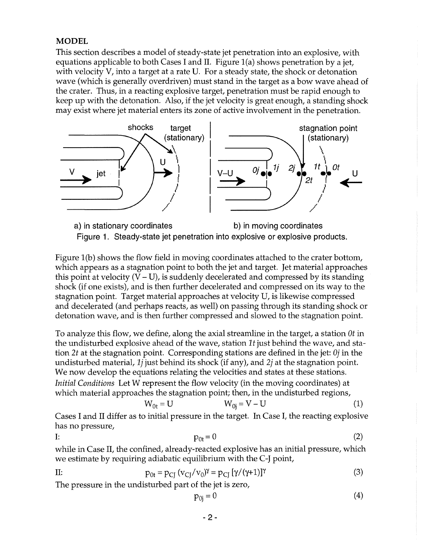## **MODEL**

This section describes a model of steady-state jet penetration into an explosive, with equations applicable to both Cases I and II. Figure l(a) shows penetration by a jet, with velocity V, into a target at a rate *V.* For a steady state, the shock or detonation wave (which is generally overdriven) must stand in the target as a bow wave ahead of the crater. Thus, in a reacting explosive target, penetration must be rapid enough to keep up with the detonation. Also, if the jet velocity is great enough, a standing shock may exist where jet material enters its zone of active involvement in the penetration.





Figure 1(b) shows the flow field in moving coordinates attached to the crater bottom, which appears as a stagnation point to both the jet and target. Jet material approaches this point at velocity  $(V-U)$ , is suddenly decelerated and compressed by its standing shock (if one exists), and is then further decelerated and compressed on its way to the stagnation point. Target material approaches at velocity V, is likewise compressed and decelerated (and perhaps reacts, as well) on passing through its standing shock or detonation wave, and is then further compressed and slowed to the stagnation point.

To analyze this flow, we define, along the axial streamline in the target, a station  $\theta t$  in the undisturbed explosive ahead of the wave, station  $1t$  just behind the wave, and station 2t at the stagnation point. Corresponding stations are defined in the jet:  $\theta$ *j* in the undisturbed material, *Ij* just behind its shock (if any), and *2j* at the stagnation point. We now develop the equations relating the velocities and states at these stations. *Initial Conditions* Let W represent the flow velocity (in the moving coordinates) at which material approaches the stagnation point; then, in the undisturbed regions,

$$
W_{0t} = U \t\t W_{0j} = V - U \t\t(1)
$$

Cases I and II differ as to initial pressure in the target. In Case I, the reacting explosive has no pressure,

$$
\overline{I} \colon
$$

$$
P_{0t} = 0 \tag{2}
$$

while in Case II, the confined, already-reacted explosive has an initial pressure, which we estimate by requiring adiabatic equilibrium with the C-J point,

II: 
$$
p_{0t} = p_{CJ} (v_{CJ}/v_0)^{\gamma} = p_{CJ} [\gamma/(\gamma+1)]^{\gamma}
$$
 (3)

The pressure in the undisturbed part of the jet is zero,

$$
p_{0j} = 0 \tag{4}
$$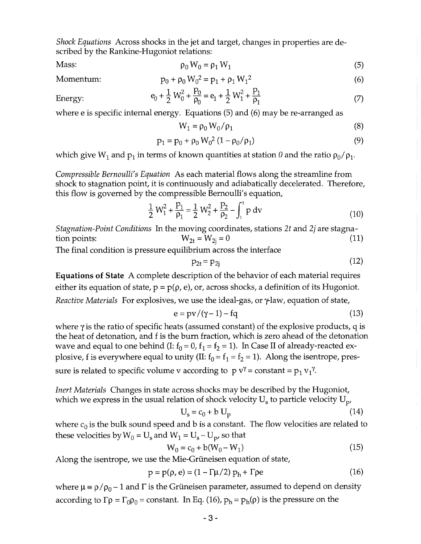*Shock Equations* Across shocks in the jet and target, changes in properties are described by the Rankine-Hugoniot relations:

Mass: 
$$
\rho_0 W_0 = \rho_1 W_1
$$
 (5)

 $p_0 + \rho_0 W_0^2 = p_1 + \rho_1 W_1^2$ 

Momentum:

$$
e_0 + \frac{1}{2} W_0^2 + \frac{p_0}{\rho_0} = e_1 + \frac{1}{2} W_1^2 + \frac{p_1}{\rho_1}
$$
 (7)

Energy:

where e is specific internal energy. Equations (5) and (6) may be re-arranged as

$$
W_1 = \rho_0 W_0 / \rho_1 \tag{8}
$$

(6)

$$
p_1 = p_0 + \rho_0 W_0^2 (1 - \rho_0 / \rho_1)
$$
\n(9)

which give W<sub>1</sub> and  $p_1$  in terms of known quantities at station 0 and the ratio  $p_0/p_1$ .

*Compressible Bernoulli's Equation* As each material flows along the streamline from shock to stagnation point, it is continuously and adiabatically decelerated. Therefore, this flow is governed by the compressible Bernoulli's equation,

$$
\frac{1}{2} W_1^2 + \frac{p_1}{p_1} = \frac{1}{2} W_2^2 + \frac{p_2}{p_2} - \int_1^2 p \, dv \tag{10}
$$

*Stagnation-Point Conditions* In the moving coordinates, stations *2t* and *2j* are stagnation points:  $W_{2t} = W_{2i} = 0$  (11)

The final condition is pressure equilibrium across the interface

$$
p_{2t} = p_{2j} \tag{12}
$$

**Equations of State** A complete description of the behavior of each material requires either its equation of state,  $p = p(\rho, e)$ , or, across shocks, a definition of its Hugoniot. *Reactive Materials* For explosives, we use the ideal-gas, or  $\gamma$ law, equation of state,

$$
e = pv/(\gamma - 1) - fq \tag{13}
$$

where  $\gamma$  is the ratio of specific heats (assumed constant) of the explosive products, q is the heat of detonation, and f is the burn fraction, which is zero ahead of the detonation wave and equal to one behind (I:  $f_0 = 0$ ,  $f_1 = f_2 = 1$ ). In Case II of already-reacted explosive, f is everywhere equal to unity (II:  $f_0 = f_1 = f_2 = 1$ ). Along the isentrope, pressure is related to specific volume v according to  $p v^{\gamma} = constant = p_1 v_1^{\gamma}$ .

*Inert Materials* Changes in state across shocks may be described by the Hugoniot, which we express in the usual relation of shock velocity  $U_s$  to particle velocity  $U_p$ 

$$
U_s = c_0 + b U_p \tag{14}
$$

where  $c_0$  is the bulk sound speed and b is a constant. The flow velocities are related to these velocities by  $W_0 = U_s$  and  $W_1 = U_s - U_p$ , so that

$$
W_0 = c_0 + b(W_0 - W_1)
$$
 (15)

Along the isentrope, we use the Mie-Griineisen equation of state,

$$
p = p(\rho, e) = (1 - \Gamma \mu / 2) ph + \Gamma \rho e
$$
 (16)

where  $\mu = \rho / \rho_0 - 1$  and  $\Gamma$  is the Grüneisen parameter, assumed to depend on density according to  $\Gamma \rho = \Gamma_0 \rho_0 = \text{constant}$ . In Eq. (16),  $p_h = p_h(\rho)$  is the pressure on the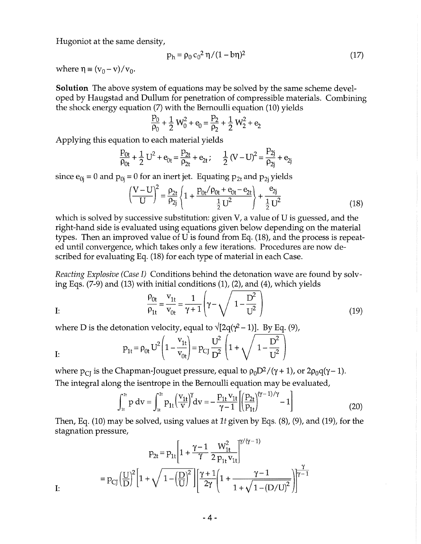Hugoniot at the same density,

$$
p_h = \rho_0 c_0^2 \eta / (1 - b\eta)^2
$$
 (17)

where  $\eta \equiv (v_0 - v)/v_0$ .

**Solution** The above system of equations may be solved by the same scheme developed by Haugstad and Dullum for penetration of compressible materials. Combining the shock energy equation (7) with the Bernoulli equation (10) yields

$$
\frac{p_0}{\rho_0} + \frac{1}{2} W_0^2 + e_0 = \frac{p_2}{\rho_2} + \frac{1}{2} W_2^2 + e_2
$$

Applying this equation to each material yields

$$
\frac{P_{0t}}{\rho_{0t}} + \frac{1}{2} U^2 + e_{0t} = \frac{P_{2t}}{\rho_{2t}} + e_{2t}; \quad \frac{1}{2} (V - U)^2 = \frac{P_{2j}}{\rho_{2j}} + e_{2j}
$$

since  $e_{0i} = 0$  and  $p_{0i} = 0$  for an inert jet. Equating  $p_{2t}$  and  $p_{2i}$  yields

$$
\left(\frac{V - U}{U}\right)^2 = \frac{\rho_{2t}}{\rho_{2j}} \left\{ 1 + \frac{p_{0t}/\rho_{0t} + e_{0t} - e_{2t}}{\frac{1}{2}U^2} \right\} + \frac{e_{2j}}{\frac{1}{2}U^2}
$$
(18)

which is solved by successive substitution: given V, a value of U is guessed, and the right-hand side is evaluated using equations given below depending on the material types. Then an improved value of U is found from Eq. (18), and the process is repeated until convergence, which takes only a few iterations. Procedures are now described for evaluating Eq. (18) for each type of material in each Case.

*Reacting Explosive (Case* I) Conditions behind the detonation wave are found by solv-

$$
\frac{\rho_{0t}}{\rho_{1t}} = \frac{v_{1t}}{v_{0t}} = \frac{1}{\gamma + 1} \left( \gamma - \sqrt{1 - \frac{D^2}{U^2}} \right)
$$
\n(19)

where D is the detonation velocity, equal to 
$$
\sqrt{[2q(\gamma^2 - 1)]}
$$
. By Eq. (9),  
\n
$$
p_{1t} = \rho_{0t} U^2 \left( 1 - \frac{v_{1t}}{v_{0t}} \right) = p_{CJ} \frac{U^2}{D^2} \left( 1 + \sqrt{1 - \frac{D^2}{U^2}} \right)
$$
\nI:

where  $p_{CI}$  is the Chapman-Jouguet pressure, equal to  $\rho_0D^2/(\gamma + 1)$ , or  $2\rho_0q(\gamma - 1)$ . The integral along the isentrope in the Bernoulli equation may be evaluated,

$$
\int_{1t}^{2t} p \, dv = \int_{1t}^{2t} p_{1t} \left( \frac{v_{1t}}{v} \right)^{\gamma} dv = -\frac{p_{1t} v_{1t}}{\gamma - 1} \left[ \left( \frac{p_{2t}}{p_{1t}} \right)^{(\gamma - 1)/\gamma} - 1 \right] \tag{20}
$$

Then, Eq. (10) may be solved, using values at *1t* given by Eqs. (8), (9), and (19), for the stagnation pressure,

$$
p_{2t} = p_{1t} \left[ 1 + \frac{\gamma - 1}{\gamma} \frac{W_{1t}^2}{2 p_{1t} v_{1t}} \right]^{\gamma/(\gamma - 1)}
$$

$$
= p_{CJ} \left( \frac{U}{D} \right)^2 \left[ 1 + \sqrt{1 - \left( \frac{D}{U} \right)^2} \right] \left[ \frac{\gamma + 1}{2\gamma} \left( 1 + \frac{\gamma - 1}{1 + \sqrt{1 - (D/U)^2}} \right) \right]^{\gamma - 1}
$$

I: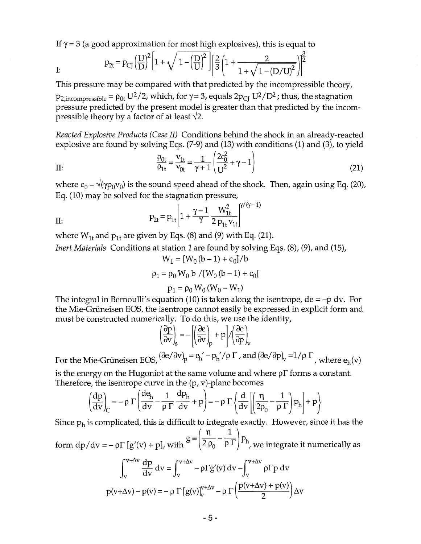If  $\gamma$  = 3 (a good approximation for most high explosives), this is equal to

I:  $P_{2t} = P_{CJ} \left(\frac{U}{D}\right)^2 \left[1 + \sqrt{1 - \left(\frac{D}{U}\right)^2}\right] \left[\frac{2}{3} \left(1 + \frac{2}{1 + \sqrt{1 - (D/U)^2}}\right)\right]^{\frac{3}{2}}$ 

This pressure may be compared with that predicted by the incompressible theory,  $p_{2,incompressible} = \rho_{0t} U^2/2$ , which, for  $\gamma = 3$ , equals  $2p_{CI} U^2/D^2$ ; thus, the stagnation pressure predicted by the present model is greater than that predicted by the incompressible theory by a factor of at least  $\sqrt{2}$ .

*Reacted Explosive Products (Case II)* Conditions behind the shock in an already-reacted explosive are found by solving Eqs. (7-9) and (13) with conditions (1) and (3), to yield

II: 
$$
\frac{\rho_{0t}}{\rho_{1t}} = \frac{v_{1t}}{v_{0t}} = \frac{1}{\gamma + 1} \left( \frac{2c_0^2}{U^2} + \gamma - 1 \right)
$$
(21)

where  $c_0 = \sqrt{\gamma p_0 v_0}$  is the sound speed ahead of the shock. Then, again using Eq. (20), Eq. (10) may be solved for the stagnation pressure,

II: 
$$
p_{2t} = p_{1t} \left[ 1 + \frac{\gamma - 1}{\gamma} \frac{W_{1t}^2}{2 p_{1t} v_{1t}} \right]^{\gamma/(\gamma - 1)}
$$

where  $W_{1t}$  and  $p_{1t}$  are given by Eqs. (8) and (9) with Eq. (21).

*Inert Materials Conditions at station 1 are found by solving Eqs.* (8), (9), and (15),

$$
W_1 = [W_0 (b - 1) + c_0]/b
$$
  

$$
\rho_1 = \rho_0 W_0 b / [W_0 (b - 1) + c_0]
$$

$$
p_1 = \rho_0 W_0 (W_0 - W_1)
$$

The integral in Bernoulli's equation (10) is taken along the isentrope,  $de = -p dv$ . For the Mie-Griineisen EOS, the isentrope cannot easily be expressed in explicit form and must be constructed numerically. To do this, we use the identity,

$$
\left(\frac{\partial p}{\partial v}\right)_s = -\left[\left(\frac{\partial e}{\partial v}\right)_p + p\right] / \left(\frac{\partial e}{\partial p}\right)_v
$$
\n
$$
\left(\frac{\partial e}{\partial v}\right)_s = e' - p' / q \Gamma \text{ and } \left(\frac{\partial e}{\partial v}\right)_v
$$

For the Mie-Grüneisen EOS,  $(\partial e/\partial v)_p = e_h' - p_h'/\rho \Gamma$ , and  $(\partial e/\partial p)_v = 1/\rho \Gamma$ , where  $e_h(v)$ 

is the energy on the Hugoniot at the same volume and where  $\rho \Gamma$  forms a constant. Therefore, the isentrope curve in the  $(p, v)$ -plane becomes

$$
\left(\frac{dp}{dv}\right)_C = -\rho \Gamma \left(\frac{de_h}{dv} - \frac{1}{\rho \Gamma} \frac{dp_h}{dv} + p\right) = -\rho \Gamma \left\{\frac{d}{dv} \left[\left(\frac{\eta}{2\rho_0} - \frac{1}{\rho \Gamma}\right) p_h\right] + p\right\}
$$

Since  $p_h$  is complicated, this is difficult to integrate exactly. However, since it has the  $g \equiv \left(\frac{\eta}{\eta} - \frac{1}{\eta}\right)$ 

form dp/dv = 
$$
-\rho \Gamma [g'(v) + p]
$$
, with  $\rho = (2 \rho_0 - \rho \Gamma)^{1/2} \rho$ , we integrate it numerically as

$$
\int_{v}^{v+\Delta v} \frac{dp}{dv} dv = \int_{v}^{v+\Delta v} -\rho \Gamma g'(v) dv - \int_{v}^{v+\Delta v} \rho \Gamma p dv
$$

$$
p(v+\Delta v) - p(v) = -\rho \Gamma \left[g(v)\right]_{v}^{v+\Delta v} - \rho \Gamma \left(\frac{p(v+\Delta v) + p(v)}{2}\right) \Delta v
$$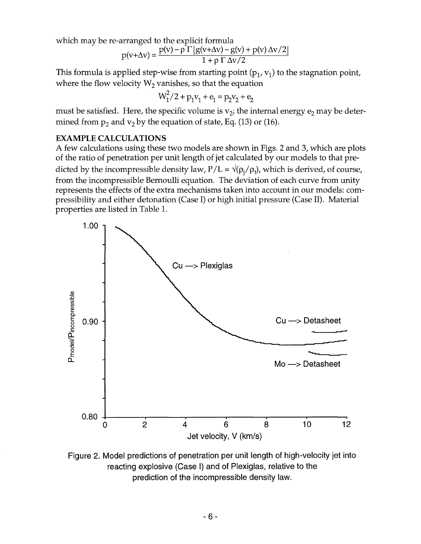which may be re-arranged to the explicit formula

$$
p(v+\Delta v) = \frac{p(v) - \rho \Gamma \left[g(v+\Delta v) - g(v) + p(v) \Delta v/2\right]}{1 + \rho \Gamma \Delta v/2}
$$

This formula is applied step-wise from starting point  $(p_1, v_1)$  to the stagnation point, where the flow velocity  $W_2$  vanishes, so that the equation

$$
W_1^2/2 + p_1v_1 + e_1 = p_2v_2 + e_2
$$

must be satisfied. Here, the specific volume is  $v_2$ ; the internal energy  $e_2$  may be determined from  $p_2$  and  $v_2$  by the equation of state, Eq. (13) or (16).

### EXAMPLE CALCULATIONS

A few calculations using these two models are shown in Figs. 2 and 3, which are plots of the ratio of penetration per unit length of jet calculated by our models to that predicted by the incompressible density law,  $P/L = \sqrt{\frac{\rho_i}{\rho_i}}$ , which is derived, of course, from the incompressible Bernoulli equation. The deviation of each curve from unity represents the effects of the extra mechanisms taken into account in our models: compressibility and either detonation (Case I) or high initial pressure (Case II). Material properties are listed in Table 1.



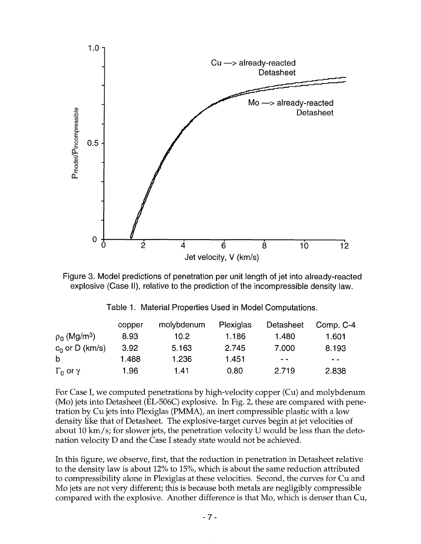



|                               | copper | molybdenum | Plexiglas | Detasheet | Comp. C-4     |
|-------------------------------|--------|------------|-----------|-----------|---------------|
| $\rho_0$ (Mg/m <sup>3</sup> ) | 8.93   | 10.2       | 1.186     | 1.480     | 1.601         |
| $c_0$ or D (km/s)             | 3.92   | 5.163      | 2.745     | 7.000     | 8.193         |
| b                             | 1.488  | 1.236      | 1.451     | - -       | $\sim$ $\sim$ |
| $\Gamma_0$ or $\gamma$        | 1.96   | 1.41       | 0.80      | 2.719     | 2.838         |

|  |  | Table 1. Material Properties Used in Model Computations. |  |  |
|--|--|----------------------------------------------------------|--|--|
|--|--|----------------------------------------------------------|--|--|

For Case I, we computed penetrations by high-velocity copper (Cu) and molybdenum (Mo) jets into Detasheet (EL-506C) explosive. In Fig. 2, these are compared with penetration by Cu jets into Plexiglas (PMMA), an inert compressible plastic with a low density like that of Detasheet. The explosive-target curves begin at jet velocities of about 10 km/s; for slower jets, the penetration velocity U would be less than the detonation velocity D and the Case I steady state would not be achieved.

In this figure, we observe, first, that the reduction in penetration in Detasheet relative to the density law is about 12% to 15%, which is about the same reduction attributed to compressibility alone in Plexiglas at these velocities. Second, the curves for Cu and Mo jets are not very different; this is because both metals are negligibly compressible compared with the explosive. Another difference is that Mo, which is denser than Cu,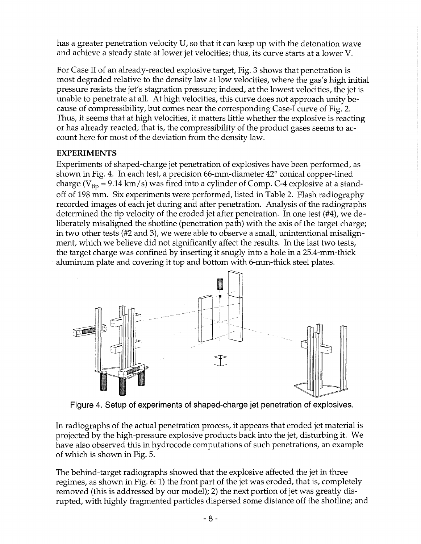has a greater penetration velocity U, so that it can keep up with the detonation wave and achieve a steady state at lower jet velocities; thus, its curve starts at a lower V.

For Case II of an already-reacted explosive target, Fig. 3 shows that penetration is most degraded relative to the density law at low velocities, where the gas's high initial pressure resists the jet's stagnation pressure; indeed, at the lowest velocities, the jet is unable to penetrate at all. At high velocities, this curve does not approach unity because of compressibility, but comes near the corresponding Case-I curve of Fig. 2. Thus, it seems that at high velocities, it matters little whether the explosive is reacting or has already reacted; that is, the compressibility of the product gases seems to account here for most of the deviation from the density law.

# EXPERIMENTS

Experiments of shaped-charge jet penetration of explosives have been performed, as shown in Fig. 4. In each test, a precision 66-mm-diameter 42° conical copper-lined charge ( $V_{tip}$  = 9.14 km/s) was fired into a cylinder of Comp. C-4 explosive at a standoff of 198 mm. Six experiments were performed, listed in Table 2. Flash radiography recorded images of each jet during and after penetration. Analysis of the radiographs determined the tip velocity of the eroded jet after penetration. In one test (#4), we deliberately misaligned the shotline (penetration path) with the axis of the target charge; in two other tests (#2 and 3), we were able to observe a small, unintentional misalignment, which we believe did not significantly affect the results. In the last two tests, the target charge was confined by inserting it snugly into a hole in a 25.4-mm-thick aluminum plate and covering it top and bottom with 6-mm-thick steel plates.



Figure 4. Setup of experiments of shaped-charge jet penetration of explosives.

In radiographs of the actual penetration process, it appears that eroded jet material is projected by the high-pressure explosive products back into the jet, disturbing it. We have also observed this in hydrocode computations of such penetrations, an example of which is shown in Fig. 5.

The behind-target radiographs showed that the explosive affected the jet in three regimes, as shown in Fig. 6: 1) the front part of the jet was eroded, that is, completely removed (this is addressed by our model); 2) the next portion of jet was greatly disrupted, with highly fragmented particles dispersed some distance off the shotline; and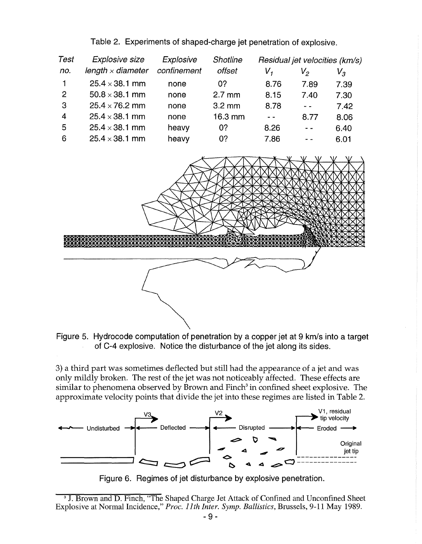Table 2. Experiments of shaped-charge jet penetration of explosive.

| Test           | Explosive size           | Explosive   | <b>Shotline</b>   | Residual jet velocities (km/s) |               |         |
|----------------|--------------------------|-------------|-------------------|--------------------------------|---------------|---------|
| no.            | length $\times$ diameter | confinement | offset            | V,                             | $V_{2}$       | $V_{3}$ |
| $\mathbf{1}$   | $25.4 \times 38.1$ mm    | none        | 0?                | 8.76                           | 7.89          | 7.39    |
| $\overline{2}$ | $50.8 \times 38.1$ mm    | none        | $2.7 \text{ mm}$  | 8.15                           | 7.40          | 7.30    |
| -3             | $25.4 \times 76.2$ mm    | none        | $3.2 \text{ mm}$  | 8.78                           | $\sim$ $\sim$ | 7.42    |
| $\overline{4}$ | $25.4 \times 38.1$ mm    | none        | $16.3 \text{ mm}$ | $\sim$ $\sim$                  | 8.77          | 8.06    |
| -5             | $25.4 \times 38.1$ mm    | heavy       | 0?                | 8.26                           | $\sim$ $\sim$ | 6.40    |
| 6              | $25.4 \times 38.1$ mm    | heavy       | 0?                | 7.86                           |               | 6.01    |



Figure 5. Hydrocode computation of penetration by a copper jet at 9 km/s into a target of C-4 explosive. Notice the disturbance of the jet along its sides.

3) a third part was sometimes deflected but still had the appearance of a jet and was only mildly broken. The rest of the jet was not noticeably affected. These effects are similar to phenomena observed by Brown and Finch<sup>3</sup> in confined sheet explosive. The



Figure 6. Regimes of jet disturbance by explosive penetration.

<sup>3</sup> J. Brown and D. Finch, "The Shaped Charge Jet Attack of Confined and Unconfined Sheet Explosive at Normal Incidence," *Proc. 11th Inter. Symp. Ballistics,* Brussels, 9-11 May 1989.